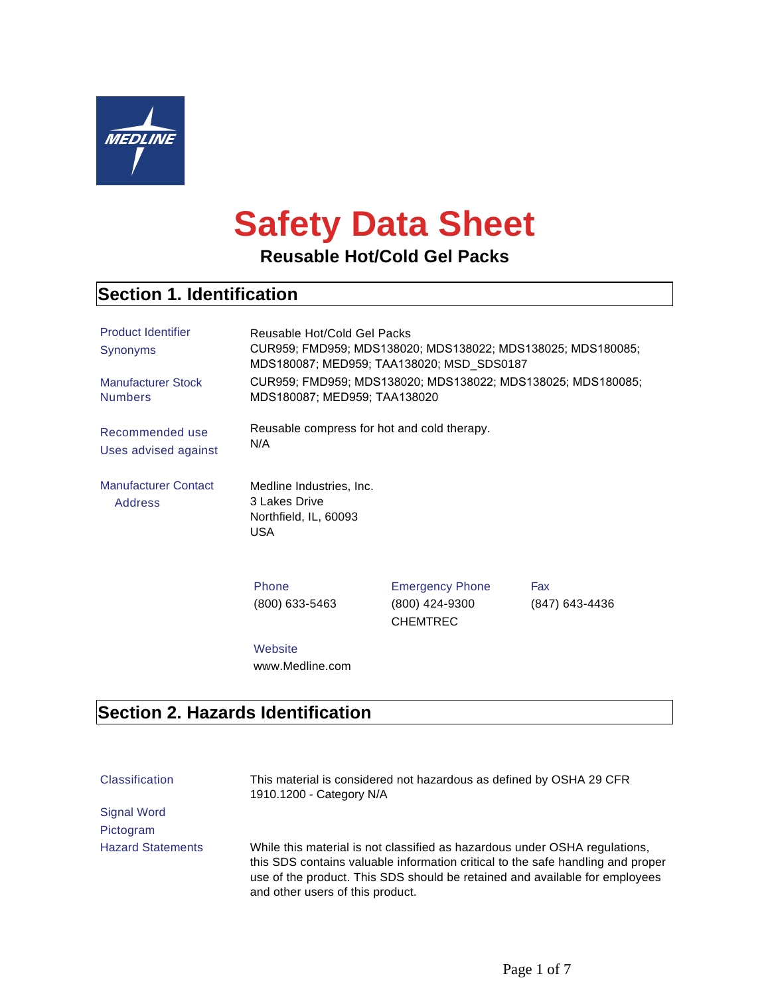

# **Safety Data Sheet**

**Reusable Hot/Cold Gel Packs**

# **Section 1. Identification**

| <b>Product Identifier</b><br>Synonyms<br><b>Manufacturer Stock</b><br><b>Numbers</b> | Reusable Hot/Cold Gel Packs<br>CUR959; FMD959; MDS138020; MDS138022; MDS138025; MDS180085;<br>MDS180087; MED959; TAA138020; MSD_SDS0187<br>CUR959; FMD959; MDS138020; MDS138022; MDS138025; MDS180085;<br>MDS180087; MED959; TAA138020 |                                                             |                       |
|--------------------------------------------------------------------------------------|----------------------------------------------------------------------------------------------------------------------------------------------------------------------------------------------------------------------------------------|-------------------------------------------------------------|-----------------------|
| Recommended use<br>Uses advised against                                              | Reusable compress for hot and cold therapy.<br>N/A                                                                                                                                                                                     |                                                             |                       |
| <b>Manufacturer Contact</b><br><b>Address</b>                                        | Medline Industries, Inc.<br>3 Lakes Drive<br>Northfield, IL, 60093<br><b>USA</b>                                                                                                                                                       |                                                             |                       |
|                                                                                      | Phone<br>$(800)$ 633-5463                                                                                                                                                                                                              | <b>Emergency Phone</b><br>(800) 424-9300<br><b>CHEMTREC</b> | Fax<br>(847) 643-4436 |
|                                                                                      | Website<br>www.Medline.com                                                                                                                                                                                                             |                                                             |                       |

## **Section 2. Hazards Identification**

| <b>Classification</b>    | This material is considered not hazardous as defined by OSHA 29 CFR<br>1910.1200 - Category N/A                                                                                                                                                                                  |
|--------------------------|----------------------------------------------------------------------------------------------------------------------------------------------------------------------------------------------------------------------------------------------------------------------------------|
| <b>Signal Word</b>       |                                                                                                                                                                                                                                                                                  |
| Pictogram                |                                                                                                                                                                                                                                                                                  |
| <b>Hazard Statements</b> | While this material is not classified as hazardous under OSHA regulations,<br>this SDS contains valuable information critical to the safe handling and proper<br>use of the product. This SDS should be retained and available for employees<br>and other users of this product. |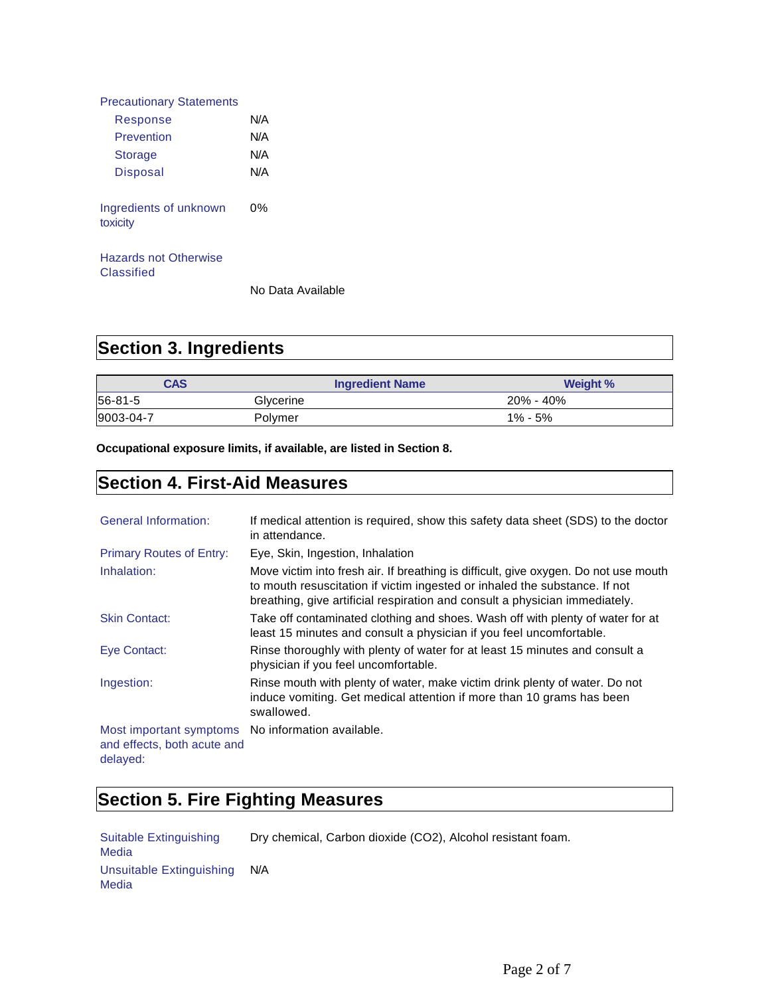| <b>Precautionary Statements</b>            |     |
|--------------------------------------------|-----|
| Response                                   | N/A |
| Prevention                                 | N/A |
| <b>Storage</b>                             | N/A |
| Disposal                                   | N/A |
| Ingredients of unknown<br>toxicity         | 0%  |
| <b>Hazards not Otherwise</b><br>Classified |     |

No Data Available

# **Section 3. Ingredients**

| <b>CAS</b> | <b>Ingredient Name</b> | <b>Weight %</b> |
|------------|------------------------|-----------------|
| 56-81-5    | Glycerine              | $20\% - 40\%$   |
| 9003-04-7  | Polvmer                | $1\% - 5\%$     |

**Occupational exposure limits, if available, are listed in Section 8.**

### **Section 4. First-Aid Measures**

| <b>General Information:</b>                                        | If medical attention is required, show this safety data sheet (SDS) to the doctor<br>in attendance.                                                                                                                                               |
|--------------------------------------------------------------------|---------------------------------------------------------------------------------------------------------------------------------------------------------------------------------------------------------------------------------------------------|
| <b>Primary Routes of Entry:</b>                                    | Eye, Skin, Ingestion, Inhalation                                                                                                                                                                                                                  |
| Inhalation:                                                        | Move victim into fresh air. If breathing is difficult, give oxygen. Do not use mouth<br>to mouth resuscitation if victim ingested or inhaled the substance. If not<br>breathing, give artificial respiration and consult a physician immediately. |
| <b>Skin Contact:</b>                                               | Take off contaminated clothing and shoes. Wash off with plenty of water for at<br>least 15 minutes and consult a physician if you feel uncomfortable.                                                                                             |
| Eye Contact:                                                       | Rinse thoroughly with plenty of water for at least 15 minutes and consult a<br>physician if you feel uncomfortable.                                                                                                                               |
| Ingestion:                                                         | Rinse mouth with plenty of water, make victim drink plenty of water. Do not<br>induce vomiting. Get medical attention if more than 10 grams has been<br>swallowed.                                                                                |
| Most important symptoms<br>and effects, both acute and<br>delayed: | No information available.                                                                                                                                                                                                                         |

# **Section 5. Fire Fighting Measures**

Suitable Extinguishing Media Unsuitable Extinguishing Media N/A

Dry chemical, Carbon dioxide (CO2), Alcohol resistant foam.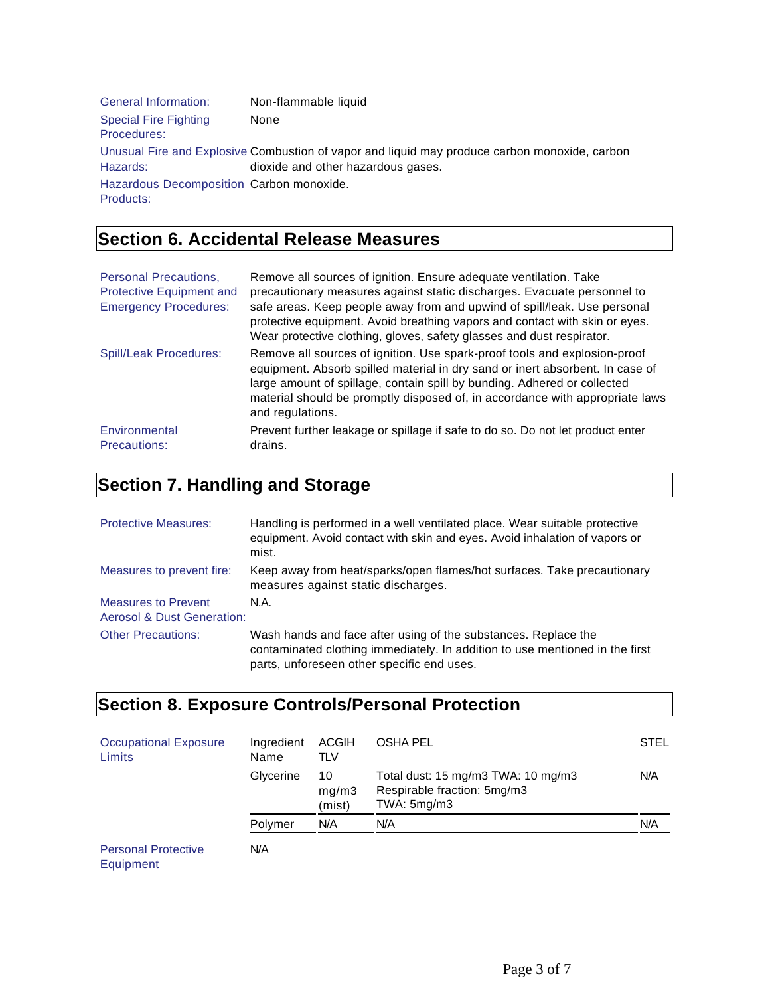| <b>General Information:</b>                 | Non-flammable liquid                                                                                                                |
|---------------------------------------------|-------------------------------------------------------------------------------------------------------------------------------------|
| <b>Special Fire Fighting</b><br>Procedures: | None                                                                                                                                |
| Hazards:                                    | Unusual Fire and Explosive Combustion of vapor and liquid may produce carbon monoxide, carbon<br>dioxide and other hazardous gases. |
| Hazardous Decomposition Carbon monoxide.    |                                                                                                                                     |
| Products:                                   |                                                                                                                                     |

# **Section 6. Accidental Release Measures**

| <b>Personal Precautions.</b><br>Protective Equipment and<br><b>Emergency Procedures:</b> | Remove all sources of ignition. Ensure adequate ventilation. Take<br>precautionary measures against static discharges. Evacuate personnel to<br>safe areas. Keep people away from and upwind of spill/leak. Use personal<br>protective equipment. Avoid breathing vapors and contact with skin or eyes.<br>Wear protective clothing, gloves, safety glasses and dust respirator. |
|------------------------------------------------------------------------------------------|----------------------------------------------------------------------------------------------------------------------------------------------------------------------------------------------------------------------------------------------------------------------------------------------------------------------------------------------------------------------------------|
| <b>Spill/Leak Procedures:</b>                                                            | Remove all sources of ignition. Use spark-proof tools and explosion-proof<br>equipment. Absorb spilled material in dry sand or inert absorbent. In case of<br>large amount of spillage, contain spill by bunding. Adhered or collected<br>material should be promptly disposed of, in accordance with appropriate laws<br>and regulations.                                       |
| Environmental<br><b>Precautions:</b>                                                     | Prevent further leakage or spillage if safe to do so. Do not let product enter<br>drains.                                                                                                                                                                                                                                                                                        |

# **Section 7. Handling and Storage**

| <b>Protective Measures:</b>                                         | Handling is performed in a well ventilated place. Wear suitable protective<br>equipment. Avoid contact with skin and eyes. Avoid inhalation of vapors or<br>mist.                            |
|---------------------------------------------------------------------|----------------------------------------------------------------------------------------------------------------------------------------------------------------------------------------------|
| Measures to prevent fire:                                           | Keep away from heat/sparks/open flames/hot surfaces. Take precautionary<br>measures against static discharges.                                                                               |
| <b>Measures to Prevent</b><br><b>Aerosol &amp; Dust Generation:</b> | N.A.                                                                                                                                                                                         |
| <b>Other Precautions:</b>                                           | Wash hands and face after using of the substances. Replace the<br>contaminated clothing immediately. In addition to use mentioned in the first<br>parts, unforeseen other specific end uses. |

# **Section 8. Exposure Controls/Personal Protection**

| <b>Occupational Exposure</b><br>Limits  | Ingredient<br>Name | <b>ACGIH</b><br>TLV   | <b>OSHA PEL</b>                                                                  | <b>STEL</b> |
|-----------------------------------------|--------------------|-----------------------|----------------------------------------------------------------------------------|-------------|
|                                         | Glycerine          | 10<br>mg/m3<br>(mist) | Total dust: 15 mg/m3 TWA: 10 mg/m3<br>Respirable fraction: 5mg/m3<br>TWA: 5mg/m3 | N/A         |
|                                         | Polymer            | N/A                   | N/A                                                                              | N/A         |
| <b>Personal Protective</b><br>Equipment | N/A                |                       |                                                                                  |             |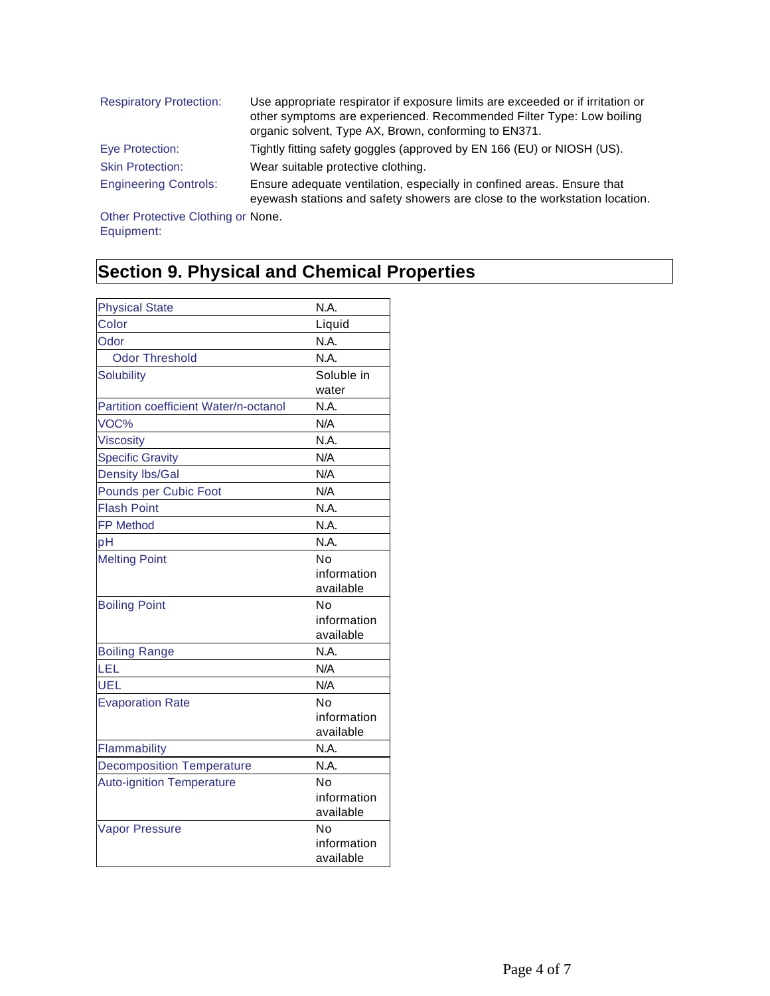| <b>Respiratory Protection:</b> | Use appropriate respirator if exposure limits are exceeded or if irritation or<br>other symptoms are experienced. Recommended Filter Type: Low boiling<br>organic solvent, Type AX, Brown, conforming to EN371. |
|--------------------------------|-----------------------------------------------------------------------------------------------------------------------------------------------------------------------------------------------------------------|
| Eye Protection:                | Tightly fitting safety goggles (approved by EN 166 (EU) or NIOSH (US).                                                                                                                                          |
| <b>Skin Protection:</b>        | Wear suitable protective clothing.                                                                                                                                                                              |
| <b>Engineering Controls:</b>   | Ensure adequate ventilation, especially in confined areas. Ensure that<br>eyewash stations and safety showers are close to the workstation location.                                                            |

Other Protective Clothing or None. Equipment:

# **Section 9. Physical and Chemical Properties**

| <b>Physical State</b>                 | N.A.        |
|---------------------------------------|-------------|
| Color                                 | Liquid      |
| Odor                                  | N.A.        |
| <b>Odor Threshold</b>                 | N.A.        |
| <b>Solubility</b>                     | Soluble in  |
|                                       | water       |
| Partition coefficient Water/n-octanol | N.A.        |
| VOC%                                  | N/A         |
| <b>Viscosity</b>                      | N.A.        |
| <b>Specific Gravity</b>               | N/A         |
| <b>Density Ibs/Gal</b>                | N/A         |
| Pounds per Cubic Foot                 | N/A         |
| <b>Flash Point</b>                    | N.A.        |
| <b>FP Method</b>                      | N.A.        |
| pH                                    | N.A.        |
| <b>Melting Point</b>                  | No          |
|                                       | information |
|                                       | available   |
| <b>Boiling Point</b>                  | N٥          |
|                                       | information |
|                                       | available   |
| <b>Boiling Range</b>                  | N.A.        |
| LEL                                   | N/A         |
| <b>UEL</b>                            | N/A         |
| <b>Evaporation Rate</b>               | N٥          |
|                                       | information |
|                                       | available   |
| Flammability                          | N.A.        |
| <b>Decomposition Temperature</b>      | N.A.        |
| <b>Auto-ignition Temperature</b>      | No          |
|                                       | information |
|                                       | available   |
| <b>Vapor Pressure</b>                 | No          |
|                                       | information |
|                                       | available   |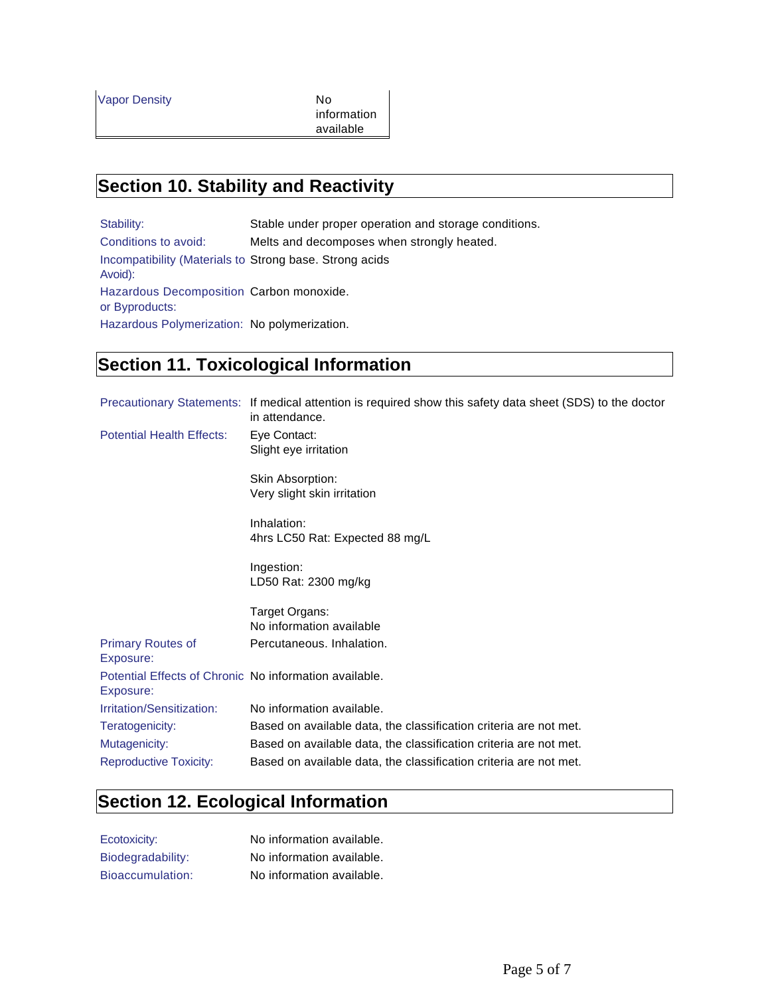information available

#### **Section 10. Stability and Reactivity**

Stability: Stable under proper operation and storage conditions. Conditions to avoid: Melts and decomposes when strongly heated. Incompatibility (Materials to Strong base. Strong acids Avoid): Hazardous Decomposition Carbon monoxide. or Byproducts: Hazardous Polymerization: No polymerization.

## **Section 11. Toxicological Information**

|                                                                     | Precautionary Statements: If medical attention is required show this safety data sheet (SDS) to the doctor<br>in attendance. |
|---------------------------------------------------------------------|------------------------------------------------------------------------------------------------------------------------------|
| <b>Potential Health Effects:</b>                                    | Eye Contact:<br>Slight eye irritation                                                                                        |
|                                                                     | Skin Absorption:<br>Very slight skin irritation                                                                              |
|                                                                     | Inhalation:<br>4hrs LC50 Rat: Expected 88 mg/L                                                                               |
|                                                                     | Ingestion:<br>LD50 Rat: 2300 mg/kg                                                                                           |
|                                                                     | Target Organs:                                                                                                               |
|                                                                     | No information available                                                                                                     |
| <b>Primary Routes of</b><br>Exposure:                               | Percutaneous, Inhalation.                                                                                                    |
| Potential Effects of Chronic No information available.<br>Exposure: |                                                                                                                              |
| Irritation/Sensitization:                                           | No information available.                                                                                                    |
| Teratogenicity:                                                     | Based on available data, the classification criteria are not met.                                                            |
| Mutagenicity:                                                       | Based on available data, the classification criteria are not met.                                                            |
| <b>Reproductive Toxicity:</b>                                       | Based on available data, the classification criteria are not met.                                                            |

## **Section 12. Ecological Information**

| Ecotoxicity:      | No information available. |
|-------------------|---------------------------|
| Biodegradability: | No information available. |
| Bioaccumulation:  | No information available. |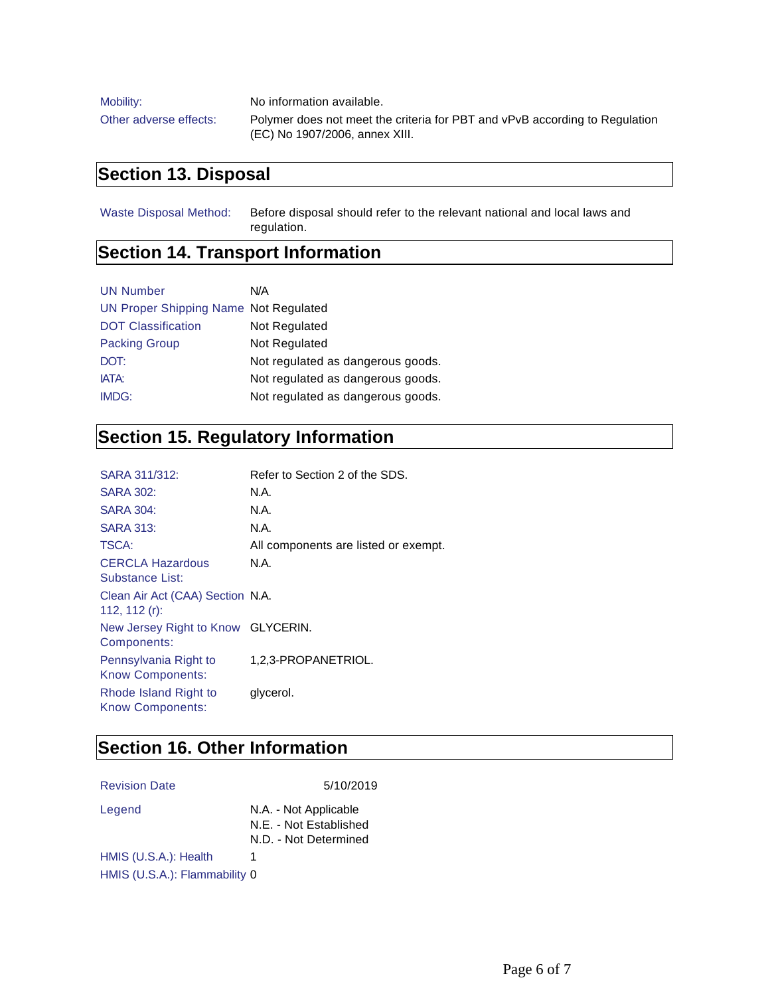| Mobility:              | No information available.                                                   |
|------------------------|-----------------------------------------------------------------------------|
| Other adverse effects: | Polymer does not meet the criteria for PBT and vPvB according to Regulation |
|                        | (EC) No 1907/2006, annex XIII.                                              |

## **Section 13. Disposal**

Waste Disposal Method: Before disposal should refer to the relevant national and local laws and regulation.

## **Section 14. Transport Information**

| <b>UN Number</b>                      | N/A                               |
|---------------------------------------|-----------------------------------|
| UN Proper Shipping Name Not Regulated |                                   |
| <b>DOT Classification</b>             | Not Regulated                     |
| <b>Packing Group</b>                  | Not Regulated                     |
| DOT:                                  | Not regulated as dangerous goods. |
| IATA:                                 | Not regulated as dangerous goods. |
| IMDG:                                 | Not regulated as dangerous goods. |

# **Section 15. Regulatory Information**

| SARA 311/312:                                        | Refer to Section 2 of the SDS.       |
|------------------------------------------------------|--------------------------------------|
| <b>SARA 302:</b>                                     | N.A.                                 |
| <b>SARA 304:</b>                                     | N.A.                                 |
| <b>SARA 313:</b>                                     | N.A.                                 |
| <b>TSCA:</b>                                         | All components are listed or exempt. |
| <b>CERCLA Hazardous</b><br>Substance List:           | N.A.                                 |
| Clean Air Act (CAA) Section N.A.<br>112, 112 $(r)$ : |                                      |
| New Jersey Right to Know GLYCERIN.<br>Components:    |                                      |
| Pennsylvania Right to<br><b>Know Components:</b>     | 1,2,3-PROPANETRIOL.                  |
| Rhode Island Right to<br><b>Know Components:</b>     | glycerol.                            |

## **Section 16. Other Information**

Revision Date 5/10/2019

| Legend                        | N.A. - Not Applicable<br>N.E. - Not Established<br>N.D. - Not Determined |
|-------------------------------|--------------------------------------------------------------------------|
| HMIS (U.S.A.): Health         | 1                                                                        |
| HMIS (U.S.A.): Flammability 0 |                                                                          |